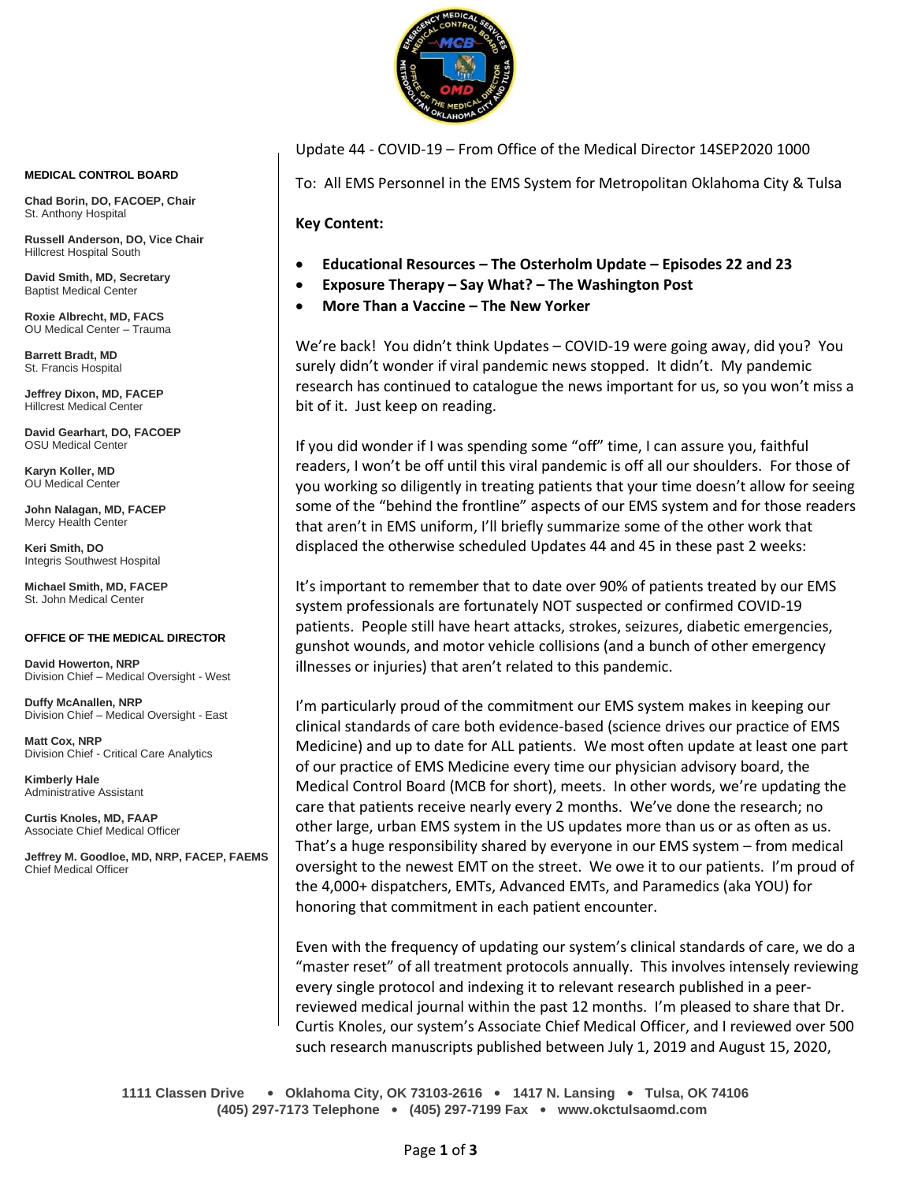

Update 44 - COVID-19 – From Office of the Medical Director 14SEP2020 1000

To: All EMS Personnel in the EMS System for Metropolitan Oklahoma City & Tulsa

**Key Content:**

- **Educational Resources – The Osterholm Update – Episodes 22 and 23**
- **Exposure Therapy – Say What? – The Washington Post**
- **More Than a Vaccine – The New Yorker**

We're back! You didn't think Updates – COVID-19 were going away, did you? You surely didn't wonder if viral pandemic news stopped. It didn't. My pandemic research has continued to catalogue the news important for us, so you won't miss a bit of it. Just keep on reading.

If you did wonder if I was spending some "off" time, I can assure you, faithful readers, I won't be off until this viral pandemic is off all our shoulders. For those of you working so diligently in treating patients that your time doesn't allow for seeing some of the "behind the frontline" aspects of our EMS system and for those readers that aren't in EMS uniform, I'll briefly summarize some of the other work that displaced the otherwise scheduled Updates 44 and 45 in these past 2 weeks:

It's important to remember that to date over 90% of patients treated by our EMS system professionals are fortunately NOT suspected or confirmed COVID-19 patients. People still have heart attacks, strokes, seizures, diabetic emergencies, gunshot wounds, and motor vehicle collisions (and a bunch of other emergency illnesses or injuries) that aren't related to this pandemic.

I'm particularly proud of the commitment our EMS system makes in keeping our clinical standards of care both evidence-based (science drives our practice of EMS Medicine) and up to date for ALL patients. We most often update at least one part of our practice of EMS Medicine every time our physician advisory board, the Medical Control Board (MCB for short), meets. In other words, we're updating the care that patients receive nearly every 2 months. We've done the research; no other large, urban EMS system in the US updates more than us or as often as us. That's a huge responsibility shared by everyone in our EMS system – from medical oversight to the newest EMT on the street. We owe it to our patients. I'm proud of the 4,000+ dispatchers, EMTs, Advanced EMTs, and Paramedics (aka YOU) for honoring that commitment in each patient encounter.

Even with the frequency of updating our system's clinical standards of care, we do a "master reset" of all treatment protocols annually. This involves intensely reviewing every single protocol and indexing it to relevant research published in a peerreviewed medical journal within the past 12 months. I'm pleased to share that Dr. Curtis Knoles, our system's Associate Chief Medical Officer, and I reviewed over 500 such research manuscripts published between July 1, 2019 and August 15, 2020,

**1111 Classen Drive** • **Oklahoma City, OK 73103-2616** • **1417 N. Lansing** • **Tulsa, OK 74106 (405) 297-7173 Telephone** • **(405) 297-7199 Fax** • **www.okctulsaomd.com**

#### **MEDICAL CONTROL BOARD**

**Chad Borin, DO, FACOEP, Chair**  St. Anthony Hospital

**Russell Anderson, DO, Vice Chair** Hillcrest Hospital South

**David Smith, MD, Secretary** Baptist Medical Center

**Roxie Albrecht, MD, FACS** OU Medical Center – Trauma

**Barrett Bradt, MD** St. Francis Hospital

**Jeffrey Dixon, MD, FACEP** Hillcrest Medical Center

**David Gearhart, DO, FACOEP** OSU Medical Center

**Karyn Koller, MD** OU Medical Center

**John Nalagan, MD, FACEP** Mercy Health Center

**Keri Smith, DO** Integris Southwest Hospital

**Michael Smith, MD, FACEP** St. John Medical Center

#### **OFFICE OF THE MEDICAL DIRECTOR**

**David Howerton, NRP** Division Chief – Medical Oversight - West

**Duffy McAnallen, NRP** Division Chief – Medical Oversight - East

**Matt Cox, NRP** Division Chief - Critical Care Analytics

**Kimberly Hale** Administrative Assistant

**Curtis Knoles, MD, FAAP** Associate Chief Medical Officer

**Jeffrey M. Goodloe, MD, NRP, FACEP, FAEMS** Chief Medical Officer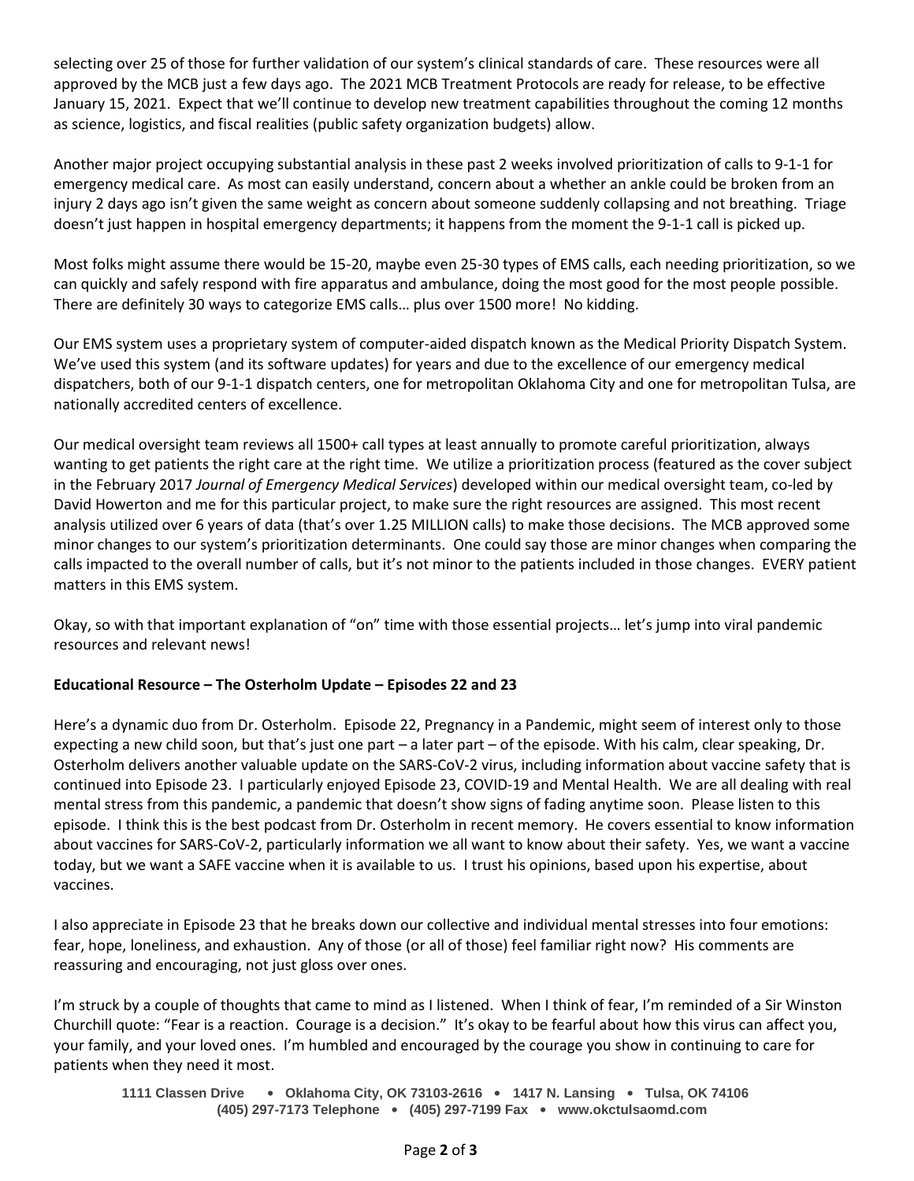selecting over 25 of those for further validation of our system's clinical standards of care. These resources were all approved by the MCB just a few days ago. The 2021 MCB Treatment Protocols are ready for release, to be effective January 15, 2021. Expect that we'll continue to develop new treatment capabilities throughout the coming 12 months as science, logistics, and fiscal realities (public safety organization budgets) allow.

Another major project occupying substantial analysis in these past 2 weeks involved prioritization of calls to 9-1-1 for emergency medical care. As most can easily understand, concern about a whether an ankle could be broken from an injury 2 days ago isn't given the same weight as concern about someone suddenly collapsing and not breathing. Triage doesn't just happen in hospital emergency departments; it happens from the moment the 9-1-1 call is picked up.

Most folks might assume there would be 15-20, maybe even 25-30 types of EMS calls, each needing prioritization, so we can quickly and safely respond with fire apparatus and ambulance, doing the most good for the most people possible. There are definitely 30 ways to categorize EMS calls… plus over 1500 more! No kidding.

Our EMS system uses a proprietary system of computer-aided dispatch known as the Medical Priority Dispatch System. We've used this system (and its software updates) for years and due to the excellence of our emergency medical dispatchers, both of our 9-1-1 dispatch centers, one for metropolitan Oklahoma City and one for metropolitan Tulsa, are nationally accredited centers of excellence.

Our medical oversight team reviews all 1500+ call types at least annually to promote careful prioritization, always wanting to get patients the right care at the right time. We utilize a prioritization process (featured as the cover subject in the February 2017 *Journal of Emergency Medical Services*) developed within our medical oversight team, co-led by David Howerton and me for this particular project, to make sure the right resources are assigned. This most recent analysis utilized over 6 years of data (that's over 1.25 MILLION calls) to make those decisions. The MCB approved some minor changes to our system's prioritization determinants. One could say those are minor changes when comparing the calls impacted to the overall number of calls, but it's not minor to the patients included in those changes. EVERY patient matters in this EMS system.

Okay, so with that important explanation of "on" time with those essential projects… let's jump into viral pandemic resources and relevant news!

# **Educational Resource – The Osterholm Update – Episodes 22 and 23**

Here's a dynamic duo from Dr. Osterholm. Episode 22, Pregnancy in a Pandemic, might seem of interest only to those expecting a new child soon, but that's just one part – a later part – of the episode. With his calm, clear speaking, Dr. Osterholm delivers another valuable update on the SARS-CoV-2 virus, including information about vaccine safety that is continued into Episode 23. I particularly enjoyed Episode 23, COVID-19 and Mental Health. We are all dealing with real mental stress from this pandemic, a pandemic that doesn't show signs of fading anytime soon. Please listen to this episode. I think this is the best podcast from Dr. Osterholm in recent memory. He covers essential to know information about vaccines for SARS-CoV-2, particularly information we all want to know about their safety. Yes, we want a vaccine today, but we want a SAFE vaccine when it is available to us. I trust his opinions, based upon his expertise, about vaccines.

I also appreciate in Episode 23 that he breaks down our collective and individual mental stresses into four emotions: fear, hope, loneliness, and exhaustion. Any of those (or all of those) feel familiar right now? His comments are reassuring and encouraging, not just gloss over ones.

I'm struck by a couple of thoughts that came to mind as I listened. When I think of fear, I'm reminded of a Sir Winston Churchill quote: "Fear is a reaction. Courage is a decision." It's okay to be fearful about how this virus can affect you, your family, and your loved ones. I'm humbled and encouraged by the courage you show in continuing to care for patients when they need it most.

**1111 Classen Drive** • **Oklahoma City, OK 73103-2616** • **1417 N. Lansing** • **Tulsa, OK 74106 (405) 297-7173 Telephone** • **(405) 297-7199 Fax** • **www.okctulsaomd.com**